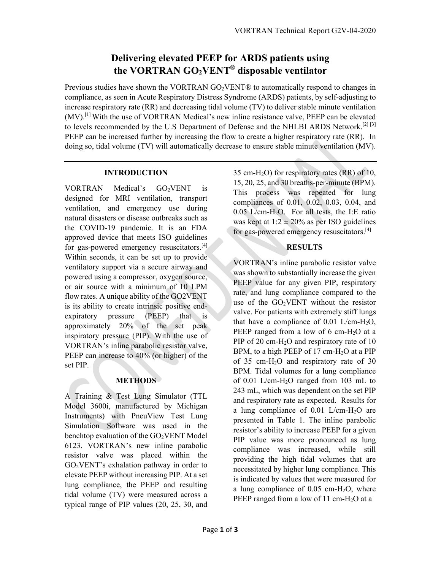# **Delivering elevated PEEP for ARDS patients using the VORTRAN GO2VENT® disposable ventilator**

Previous studies have shown the VORTRAN  $GO<sub>2</sub>VENT@$  to automatically respond to changes in compliance, as seen in Acute Respiratory Distress Syndrome (ARDS) patients, by self-adjusting to increase respiratory rate (RR) and decreasing tidal volume (TV) to deliver stable minute ventilation  $(MV)$ .<sup>[1]</sup> With the use of VORTRAN Medical's new inline resistance valve, PEEP can be elevated to levels recommended by the U.S Department of Defense and the NHLBI ARDS Network.<sup>[2] [3]</sup> PEEP can be increased further by increasing the flow to create a higher respiratory rate (RR). In doing so, tidal volume (TV) will automatically decrease to ensure stable minute ventilation (MV).

## **INTRODUCTION**

VORTRAN Medical's GO2VENT is designed for MRI ventilation, transport ventilation, and emergency use during natural disasters or disease outbreaks such as the COVID-19 pandemic. It is an FDA approved device that meets ISO guidelines for gas-powered emergency resuscitators.<sup>[4]</sup> Within seconds, it can be set up to provide ventilatory support via a secure airway and powered using a compressor, oxygen source, or air source with a minimum of 10 LPM flow rates. A unique ability of the GO2VENT is its ability to create intrinsic positive endexpiratory pressure (PEEP) that is approximately 20% of the set peak inspiratory pressure (PIP). With the use of VORTRAN's inline parabolic resistor valve, PEEP can increase to 40% (or higher) of the set PIP.

## **METHODS**

A Training & Test Lung Simulator (TTL Model 3600i, manufactured by Michigan Instruments) with PneuView Test Lung Simulation Software was used in the benchtop evaluation of the GO<sub>2</sub>VENT Model 6123. VORTRAN's new inline parabolic resistor valve was placed within the GO2VENT's exhalation pathway in order to elevate PEEP without increasing PIP. At a set lung compliance, the PEEP and resulting tidal volume (TV) were measured across a typical range of PIP values (20, 25, 30, and

35 cm-H<sub>2</sub>O) for respiratory rates  $(RR)$  of 10, 15, 20, 25, and 30 breaths-per-minute (BPM). This process was repeated for lung compliances of 0.01, 0.02, 0.03, 0.04, and  $0.05$  L/cm-H<sub>2</sub>O. For all tests, the I:E ratio was kept at  $1:2 \pm 20\%$  as per ISO guidelines for gas-powered emergency resuscitators.[4]

## **RESULTS**

VORTRAN's inline parabolic resistor valve was shown to substantially increase the given PEEP value for any given PIP, respiratory rate, and lung compliance compared to the use of the  $GO<sub>2</sub>VENT$  without the resistor valve. For patients with extremely stiff lungs that have a compliance of  $0.01$  L/cm-H<sub>2</sub>O, PEEP ranged from a low of 6 cm-H<sub>2</sub>O at a PIP of 20 cm-H<sub>2</sub>O and respiratory rate of 10 BPM, to a high PEEP of 17 cm- $H<sub>2</sub>O$  at a PIP of 35 cm-H<sub>2</sub>O and respiratory rate of 30 BPM. Tidal volumes for a lung compliance of 0.01 L/cm-H2O ranged from 103 mL to 243 mL, which was dependent on the set PIP and respiratory rate as expected. Results for a lung compliance of 0.01 L/cm-H2O are presented in Table 1. The inline parabolic resistor's ability to increase PEEP for a given PIP value was more pronounced as lung compliance was increased, while still providing the high tidal volumes that are necessitated by higher lung compliance. This is indicated by values that were measured for a lung compliance of  $0.05$  cm-H<sub>2</sub>O, where PEEP ranged from a low of 11 cm-H<sub>2</sub>O at a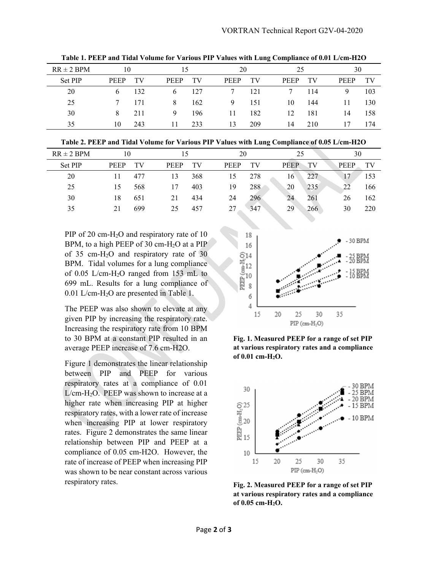| $RR \pm 2$ BPM | 10          |     |             | 15  |             | 20  |             | 25  |             | 30  |  |
|----------------|-------------|-----|-------------|-----|-------------|-----|-------------|-----|-------------|-----|--|
| Set PIP        | <b>PEEP</b> | TV  | <b>PEEP</b> | TV  | <b>PEEP</b> | TV  | <b>PEEP</b> | TV  | <b>PEEP</b> | TV  |  |
| 20             | 6.          | 132 | 6           | 127 |             | 121 |             | 114 | 9           | 103 |  |
| 25             |             | 171 | 8           | 162 | 9           | 151 | 10          | 144 | 11          | 130 |  |
| 30             | 8.          | 211 | 9           | 196 | 11          | 182 | 12          | 181 | 14          | 158 |  |
| 35             | 10          | 243 | 11          | 233 | 13          | 209 | 14          | 210 | 17          | 174 |  |

**Table 1. PEEP and Tidal Volume for Various PIP Values with Lung Compliance of 0.01 L/cm-H2O** 

**Table 2. PEEP and Tidal Volume for Various PIP Values with Lung Compliance of 0.05 L/cm-H2O** 

| $RR \pm 2$ BPM | 10          |     |             |     |  | 20          |     |  | 25          |     | 30          |     |
|----------------|-------------|-----|-------------|-----|--|-------------|-----|--|-------------|-----|-------------|-----|
| Set PIP        | <b>PEEP</b> | TV  | <b>PEEP</b> | TV  |  | <b>PEEP</b> | TV  |  | <b>PEEP</b> | TV  | <b>PEEP</b> | TV  |
| 20             |             | 477 | 13          | 368 |  | 15          | 278 |  | 16          | 227 |             | 153 |
| 25             | 15          | 568 | 17          | 403 |  | 19          | 288 |  | 20          | 235 | 22          | 166 |
| 30             | 18          | 651 | 21          | 434 |  | 24          | 296 |  | 24          | 261 | 26          | 162 |
| 35             |             | 699 | 25          | 457 |  | 27          | 347 |  | 29          | 266 | 30          | 220 |

PIP of 20 cm-H<sub>2</sub>O and respiratory rate of 10 BPM, to a high PEEP of 30 cm- $H<sub>2</sub>O$  at a PIP of 35 cm-H2O and respiratory rate of 30 BPM. Tidal volumes for a lung compliance of 0.05 L/cm-H2O ranged from 153 mL to 699 mL. Results for a lung compliance of 0.01 L/cm-H2O are presented in Table 1.

The PEEP was also shown to elevate at any given PIP by increasing the respiratory rate. Increasing the respiratory rate from 10 BPM to 30 BPM at a constant PIP resulted in an average PEEP increase of 7.6 cm-H2O.

Figure 1 demonstrates the linear relationship between PIP and PEEP for various respiratory rates at a compliance of 0.01  $L/cm-H<sub>2</sub>O$ . PEEP was shown to increase at a higher rate when increasing PIP at higher respiratory rates, with a lower rate of increase when increasing PIP at lower respiratory rates. Figure 2 demonstrates the same linear relationship between PIP and PEEP at a compliance of 0.05 cm-H2O. However, the rate of increase of PEEP when increasing PIP was shown to be near constant across various respiratory rates.



**Fig. 1. Measured PEEP for a range of set PIP at various respiratory rates and a compliance of 0.01 cm-H2O.** 



**Fig. 2. Measured PEEP for a range of set PIP at various respiratory rates and a compliance of 0.05 cm-H2O.**